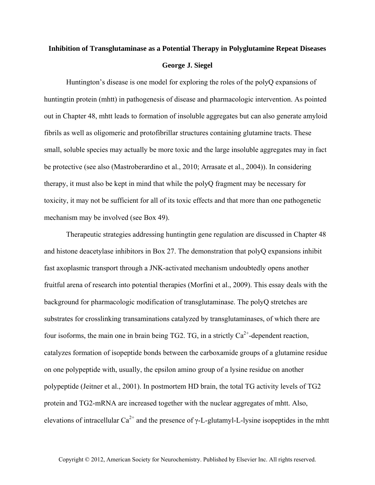## **Inhibition of Transglutaminase as a Potential Therapy in Polyglutamine Repeat Diseases George J. Siegel**

Huntington's disease is one model for exploring the roles of the polyQ expansions of huntingtin protein (mhtt) in pathogenesis of disease and pharmacologic intervention. As pointed out in Chapter 48, mhtt leads to formation of insoluble aggregates but can also generate amyloid fibrils as well as oligomeric and protofibrillar structures containing glutamine tracts. These small, soluble species may actually be more toxic and the large insoluble aggregates may in fact be protective (see also (Mastroberardino et al., 2010; Arrasate et al., 2004)). In considering therapy, it must also be kept in mind that while the polyQ fragment may be necessary for toxicity, it may not be sufficient for all of its toxic effects and that more than one pathogenetic mechanism may be involved (see Box 49).

Therapeutic strategies addressing huntingtin gene regulation are discussed in Chapter 48 and histone deacetylase inhibitors in Box 27. The demonstration that polyQ expansions inhibit fast axoplasmic transport through a JNK-activated mechanism undoubtedly opens another fruitful arena of research into potential therapies (Morfini et al., 2009). This essay deals with the background for pharmacologic modification of transglutaminase. The polyQ stretches are substrates for crosslinking transaminations catalyzed by transglutaminases, of which there are four isoforms, the main one in brain being TG2. TG, in a strictly  $Ca^{2+}$ -dependent reaction, catalyzes formation of isopeptide bonds between the carboxamide groups of a glutamine residue on one polypeptide with, usually, the epsilon amino group of a lysine residue on another polypeptide (Jeitner et al., 2001). In postmortem HD brain, the total TG activity levels of TG2 protein and TG2-mRNA are increased together with the nuclear aggregates of mhtt. Also, elevations of intracellular  $Ca^{2+}$  and the presence of γ-L-glutamyl-L-lysine isopeptides in the mhtt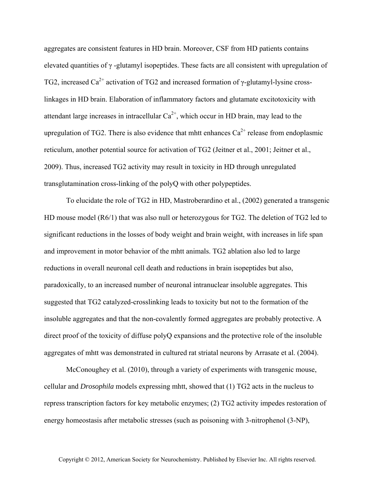aggregates are consistent features in HD brain. Moreover, CSF from HD patients contains elevated quantities of γ -glutamyl isopeptides. These facts are all consistent with upregulation of TG2, increased Ca<sup>2+</sup> activation of TG2 and increased formation of  $\gamma$ -glutamyl-lysine crosslinkages in HD brain. Elaboration of inflammatory factors and glutamate excitotoxicity with attendant large increases in intracellular  $Ca^{2+}$ , which occur in HD brain, may lead to the upregulation of TG2. There is also evidence that mhtt enhances  $Ca^{2+}$  release from endoplasmic reticulum, another potential source for activation of TG2 (Jeitner et al., 2001; Jeitner et al., 2009). Thus, increased TG2 activity may result in toxicity in HD through unregulated transglutamination cross-linking of the polyQ with other polypeptides.

To elucidate the role of TG2 in HD, Mastroberardino et al., (2002) generated a transgenic HD mouse model (R6/1) that was also null or heterozygous for TG2. The deletion of TG2 led to significant reductions in the losses of body weight and brain weight, with increases in life span and improvement in motor behavior of the mhtt animals. TG2 ablation also led to large reductions in overall neuronal cell death and reductions in brain isopeptides but also, paradoxically, to an increased number of neuronal intranuclear insoluble aggregates. This suggested that TG2 catalyzed-crosslinking leads to toxicity but not to the formation of the insoluble aggregates and that the non-covalently formed aggregates are probably protective. A direct proof of the toxicity of diffuse polyQ expansions and the protective role of the insoluble aggregates of mhtt was demonstrated in cultured rat striatal neurons by Arrasate et al. (2004).

McConoughey et al. (2010), through a variety of experiments with transgenic mouse, cellular and *Drosophila* models expressing mhtt, showed that (1) TG2 acts in the nucleus to repress transcription factors for key metabolic enzymes; (2) TG2 activity impedes restoration of energy homeostasis after metabolic stresses (such as poisoning with 3-nitrophenol (3-NP),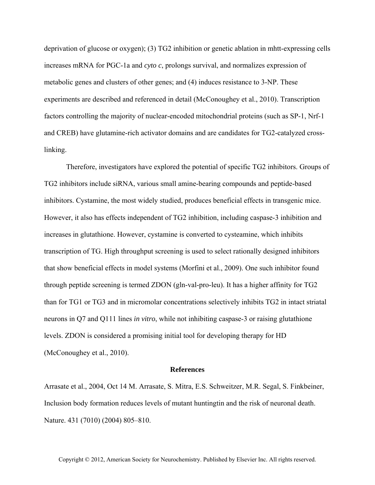deprivation of glucose or oxygen); (3) TG2 inhibition or genetic ablation in mhtt-expressing cells increases mRNA for PGC-1a and *cyto c*, prolongs survival, and normalizes expression of metabolic genes and clusters of other genes; and (4) induces resistance to 3-NP. These experiments are described and referenced in detail (McConoughey et al., 2010). Transcription factors controlling the majority of nuclear-encoded mitochondrial proteins (such as SP-1, Nrf-1 and CREB) have glutamine-rich activator domains and are candidates for TG2-catalyzed crosslinking.

Therefore, investigators have explored the potential of specific TG2 inhibitors. Groups of TG2 inhibitors include siRNA, various small amine-bearing compounds and peptide-based inhibitors. Cystamine, the most widely studied, produces beneficial effects in transgenic mice. However, it also has effects independent of TG2 inhibition, including caspase-3 inhibition and increases in glutathione. However, cystamine is converted to cysteamine, which inhibits transcription of TG. High throughput screening is used to select rationally designed inhibitors that show beneficial effects in model systems (Morfini et al., 2009). One such inhibitor found through peptide screening is termed ZDON (gln-val-pro-leu). It has a higher affinity for TG2 than for TG1 or TG3 and in micromolar concentrations selectively inhibits TG2 in intact striatal neurons in Q7 and Q111 lines *in vitro*, while not inhibiting caspase-3 or raising glutathione levels. ZDON is considered a promising initial tool for developing therapy for HD (McConoughey et al., 2010).

## **References**

Arrasate et al., 2004, Oct 14 M. Arrasate, S. Mitra, E.S. Schweitzer, M.R. Segal, S. Finkbeiner, Inclusion body formation reduces levels of mutant huntingtin and the risk of neuronal death. Nature. 431 (7010) (2004) 805–810.